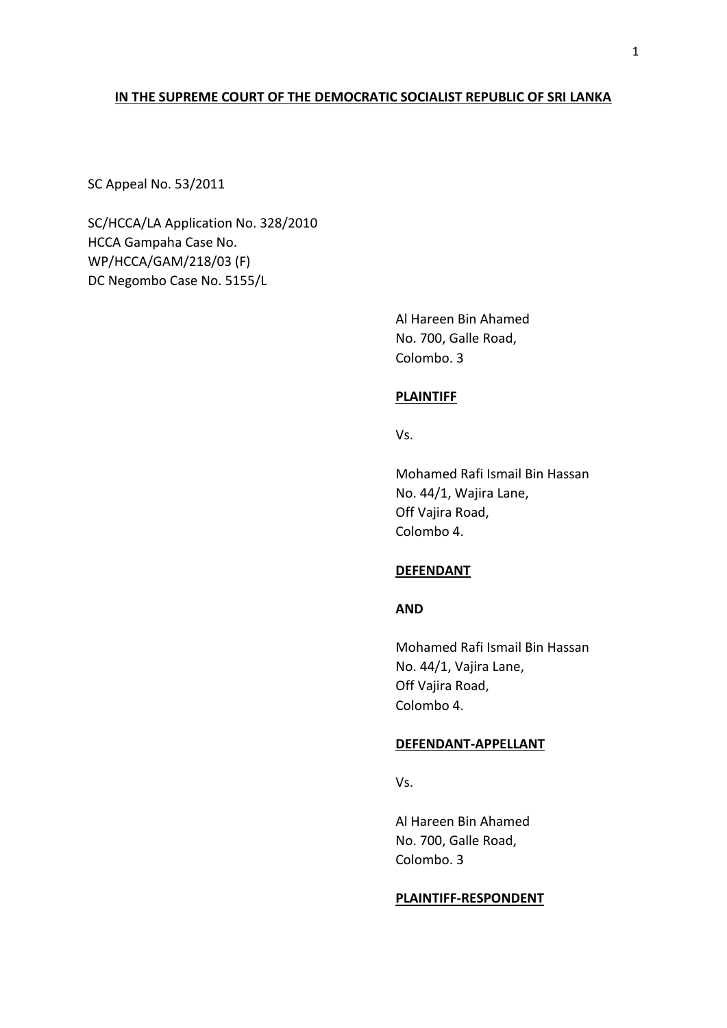## **IN THE SUPREME COURT OF THE DEMOCRATIC SOCIALIST REPUBLIC OF SRI LANKA**

SC Appeal No. 53/2011

SC/HCCA/LA Application No. 328/2010 HCCA Gampaha Case No. WP/HCCA/GAM/218/03 (F) DC Negombo Case No. 5155/L

> Al Hareen Bin Ahamed No. 700, Galle Road, Colombo. 3

## **PLAINTIFF**

Vs.

Mohamed Rafi Ismail Bin Hassan No. 44/1, Wajira Lane, Off Vajira Road, Colombo 4.

## **DEFENDANT**

# **AND**

Mohamed Rafi Ismail Bin Hassan No. 44/1, Vajira Lane, Off Vajira Road, Colombo 4.

## **DEFENDANT-APPELLANT**

Vs.

Al Hareen Bin Ahamed No. 700, Galle Road, Colombo. 3

#### **PLAINTIFF-RESPONDENT**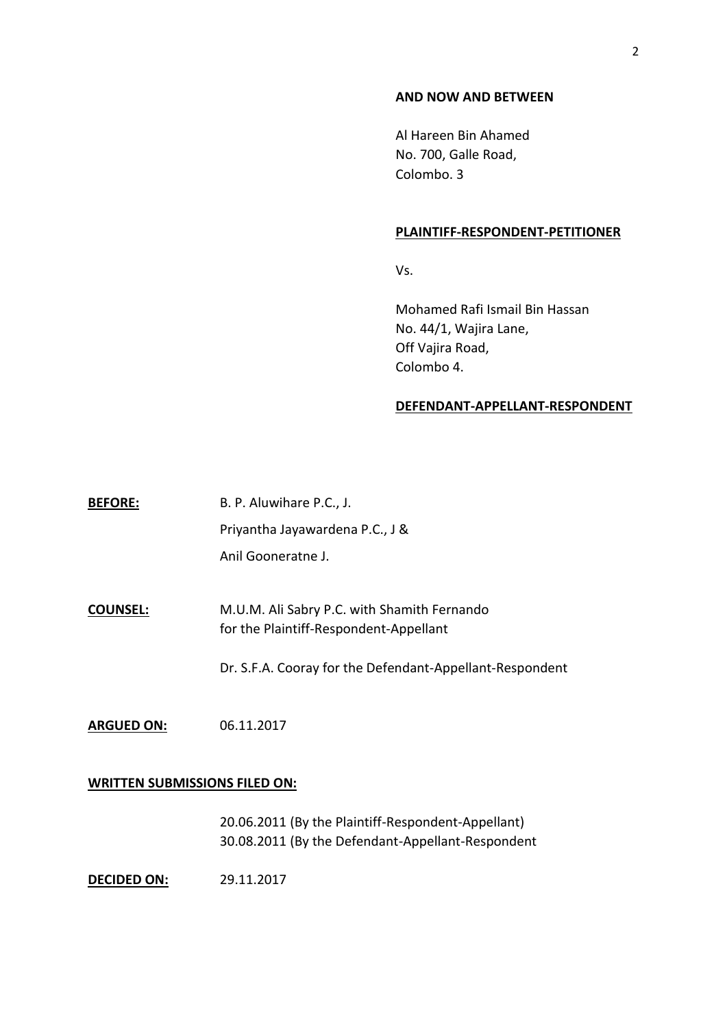#### **AND NOW AND BETWEEN**

Al Hareen Bin Ahamed No. 700, Galle Road, Colombo. 3

#### **PLAINTIFF-RESPONDENT-PETITIONER**

Vs.

Mohamed Rafi Ismail Bin Hassan No. 44/1, Wajira Lane, Off Vajira Road, Colombo 4.

#### **DEFENDANT-APPELLANT-RESPONDENT**

**BEFORE:** B. P. Aluwihare P.C., J. Priyantha Jayawardena P.C., J & Anil Gooneratne J.

**COUNSEL:** M.U.M. Ali Sabry P.C. with Shamith Fernando for the Plaintiff-Respondent-Appellant

Dr. S.F.A. Cooray for the Defendant-Appellant-Respondent

**ARGUED ON:** 06.11.2017

### **WRITTEN SUBMISSIONS FILED ON:**

20.06.2011 (By the Plaintiff-Respondent-Appellant) 30.08.2011 (By the Defendant-Appellant-Respondent

**DECIDED ON:** 29.11.2017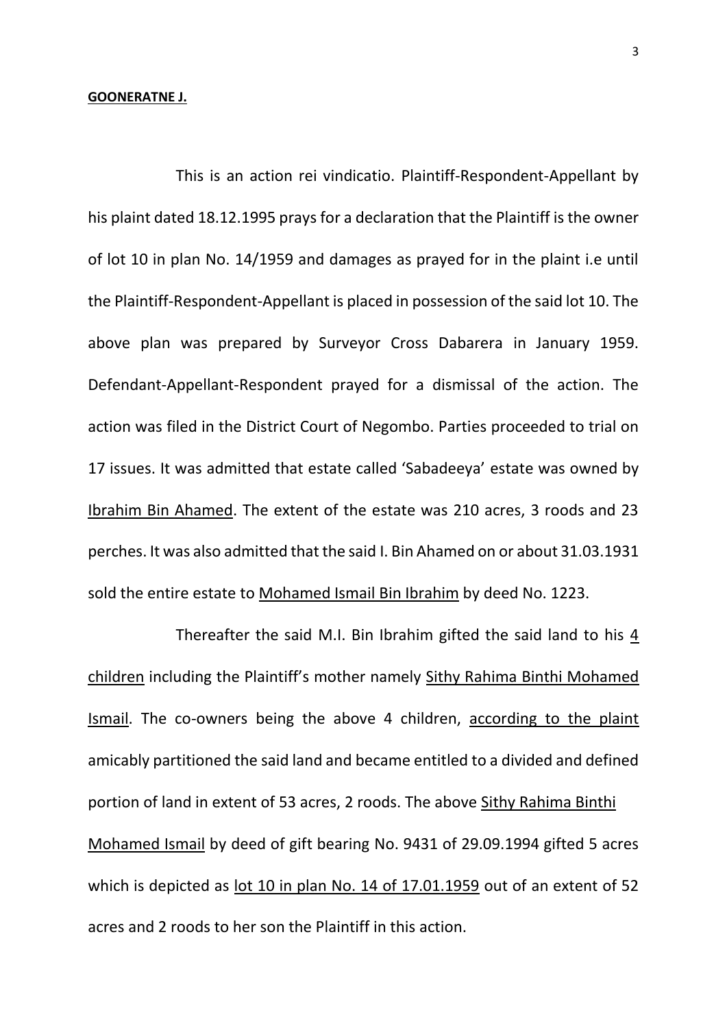#### **GOONERATNE J.**

This is an action rei vindicatio. Plaintiff-Respondent-Appellant by his plaint dated 18.12.1995 prays for a declaration that the Plaintiff is the owner of lot 10 in plan No. 14/1959 and damages as prayed for in the plaint i.e until the Plaintiff-Respondent-Appellant is placed in possession of the said lot 10. The above plan was prepared by Surveyor Cross Dabarera in January 1959. Defendant-Appellant-Respondent prayed for a dismissal of the action. The action was filed in the District Court of Negombo. Parties proceeded to trial on 17 issues. It was admitted that estate called 'Sabadeeya' estate was owned by Ibrahim Bin Ahamed. The extent of the estate was 210 acres, 3 roods and 23 perches. It was also admitted that the said I. Bin Ahamed on or about 31.03.1931 sold the entire estate to Mohamed Ismail Bin Ibrahim by deed No. 1223.

Thereafter the said M.I. Bin Ibrahim gifted the said land to his 4 children including the Plaintiff's mother namely Sithy Rahima Binthi Mohamed Ismail. The co-owners being the above 4 children, according to the plaint amicably partitioned the said land and became entitled to a divided and defined portion of land in extent of 53 acres, 2 roods. The above Sithy Rahima Binthi Mohamed Ismail by deed of gift bearing No. 9431 of 29.09.1994 gifted 5 acres which is depicted as lot 10 in plan No. 14 of 17.01.1959 out of an extent of 52 acres and 2 roods to her son the Plaintiff in this action.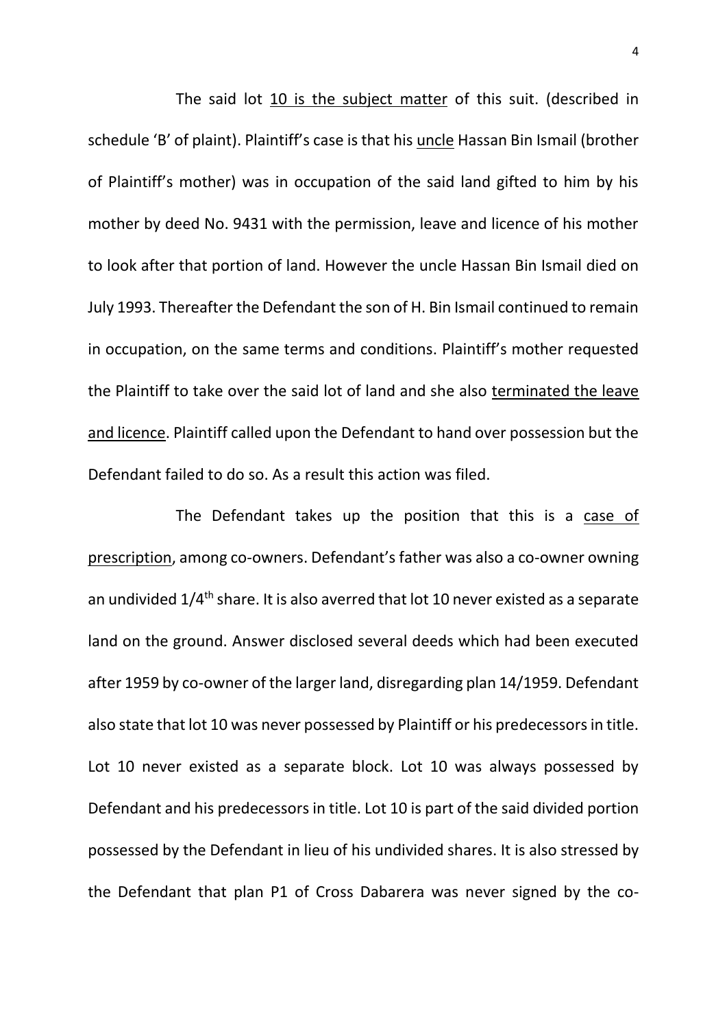The said lot 10 is the subject matter of this suit. (described in schedule 'B' of plaint). Plaintiff's case is that his uncle Hassan Bin Ismail (brother of Plaintiff's mother) was in occupation of the said land gifted to him by his mother by deed No. 9431 with the permission, leave and licence of his mother to look after that portion of land. However the uncle Hassan Bin Ismail died on July 1993. Thereafter the Defendant the son of H. Bin Ismail continued to remain in occupation, on the same terms and conditions. Plaintiff's mother requested the Plaintiff to take over the said lot of land and she also terminated the leave and licence. Plaintiff called upon the Defendant to hand over possession but the Defendant failed to do so. As a result this action was filed.

The Defendant takes up the position that this is a case of prescription, among co-owners. Defendant's father was also a co-owner owning an undivided 1/4th share. It is also averred that lot 10 never existed as a separate land on the ground. Answer disclosed several deeds which had been executed after 1959 by co-owner of the larger land, disregarding plan 14/1959. Defendant also state that lot 10 was never possessed by Plaintiff or his predecessors in title. Lot 10 never existed as a separate block. Lot 10 was always possessed by Defendant and his predecessors in title. Lot 10 is part of the said divided portion possessed by the Defendant in lieu of his undivided shares. It is also stressed by the Defendant that plan P1 of Cross Dabarera was never signed by the co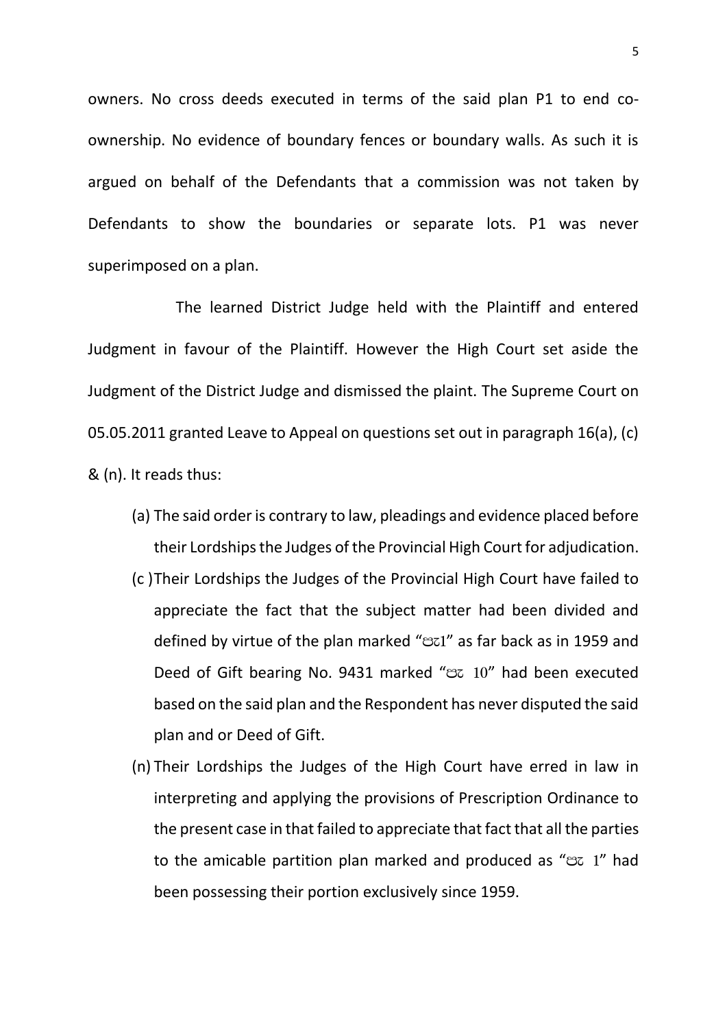owners. No cross deeds executed in terms of the said plan P1 to end coownership. No evidence of boundary fences or boundary walls. As such it is argued on behalf of the Defendants that a commission was not taken by Defendants to show the boundaries or separate lots. P1 was never superimposed on a plan.

The learned District Judge held with the Plaintiff and entered Judgment in favour of the Plaintiff. However the High Court set aside the Judgment of the District Judge and dismissed the plaint. The Supreme Court on 05.05.2011 granted Leave to Appeal on questions set out in paragraph 16(a), (c) & (n). It reads thus:

- (a) The said order is contrary to law, pleadings and evidence placed before their Lordships the Judges of the Provincial High Court for adjudication.
- (c )Their Lordships the Judges of the Provincial High Court have failed to appreciate the fact that the subject matter had been divided and defined by virtue of the plan marked "Bz1" as far back as in 1959 and Deed of Gift bearing No. 9431 marked "B 10" had been executed based on the said plan and the Respondent has never disputed the said plan and or Deed of Gift.
- (n) Their Lordships the Judges of the High Court have erred in law in interpreting and applying the provisions of Prescription Ordinance to the present case in that failed to appreciate that fact that all the parties to the amicable partition plan marked and produced as " $ex$  1" had been possessing their portion exclusively since 1959.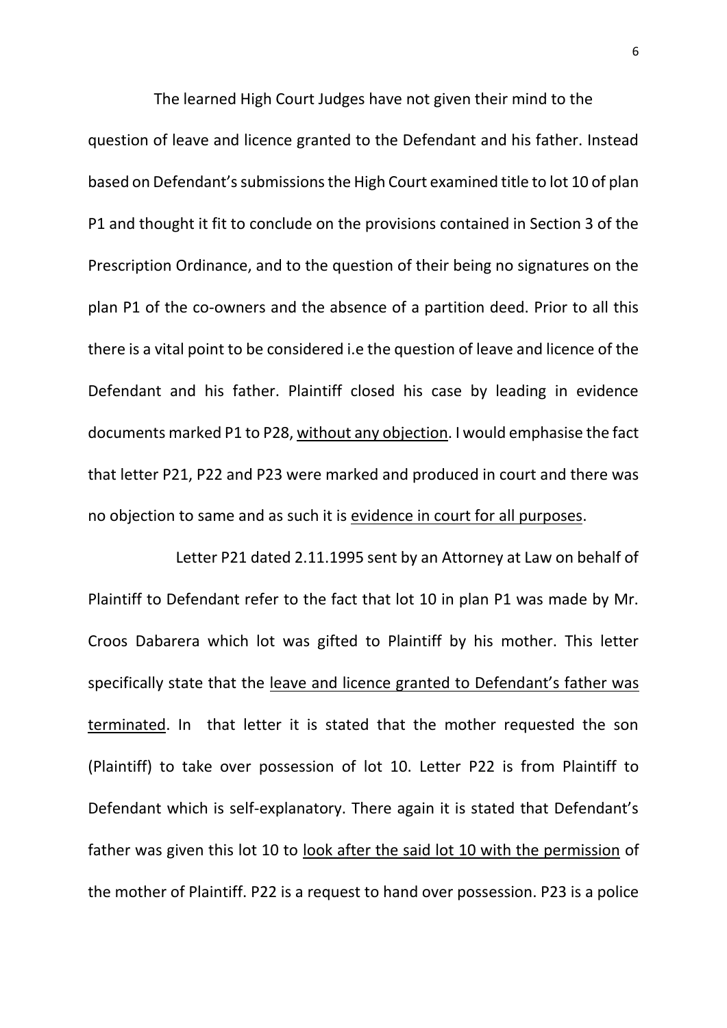The learned High Court Judges have not given their mind to the question of leave and licence granted to the Defendant and his father. Instead based on Defendant's submissions the High Court examined title to lot 10 of plan P1 and thought it fit to conclude on the provisions contained in Section 3 of the Prescription Ordinance, and to the question of their being no signatures on the plan P1 of the co-owners and the absence of a partition deed. Prior to all this there is a vital point to be considered i.e the question of leave and licence of the Defendant and his father. Plaintiff closed his case by leading in evidence documents marked P1 to P28, without any objection. I would emphasise the fact that letter P21, P22 and P23 were marked and produced in court and there was no objection to same and as such it is evidence in court for all purposes.

Letter P21 dated 2.11.1995 sent by an Attorney at Law on behalf of Plaintiff to Defendant refer to the fact that lot 10 in plan P1 was made by Mr. Croos Dabarera which lot was gifted to Plaintiff by his mother. This letter specifically state that the leave and licence granted to Defendant's father was terminated. In that letter it is stated that the mother requested the son (Plaintiff) to take over possession of lot 10. Letter P22 is from Plaintiff to Defendant which is self-explanatory. There again it is stated that Defendant's father was given this lot 10 to look after the said lot 10 with the permission of the mother of Plaintiff. P22 is a request to hand over possession. P23 is a police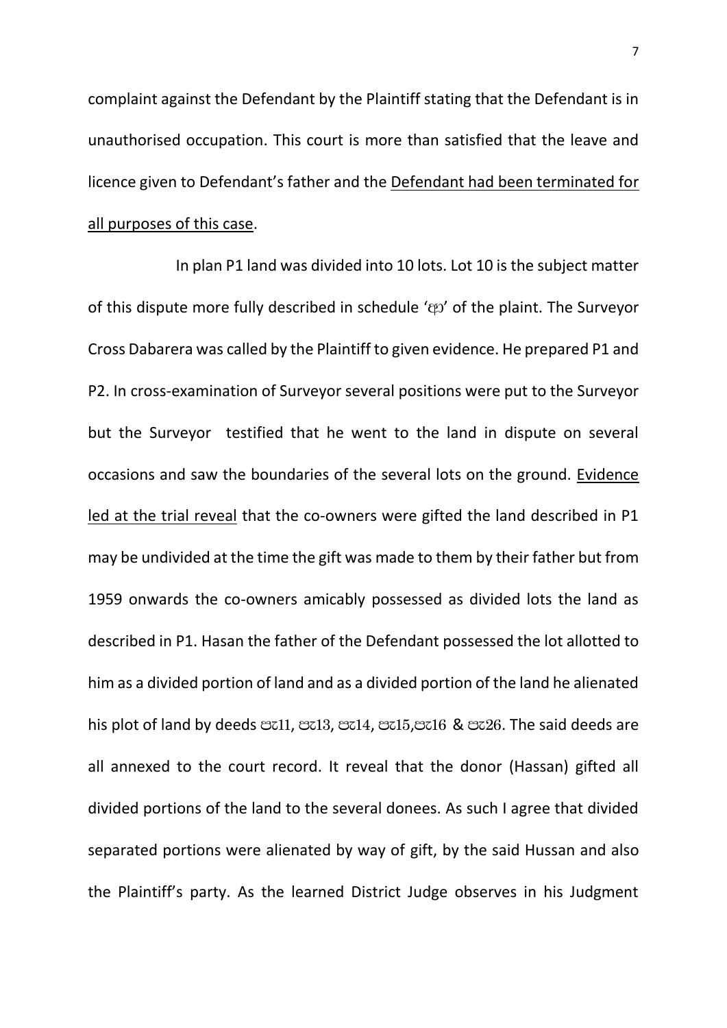complaint against the Defendant by the Plaintiff stating that the Defendant is in unauthorised occupation. This court is more than satisfied that the leave and licence given to Defendant's father and the Defendant had been terminated for all purposes of this case.

In plan P1 land was divided into 10 lots. Lot 10 is the subject matter of this dispute more fully described in schedule '@2' of the plaint. The Surveyor Cross Dabarera was called by the Plaintiff to given evidence. He prepared P1 and P2. In cross-examination of Surveyor several positions were put to the Surveyor but the Surveyor testified that he went to the land in dispute on several occasions and saw the boundaries of the several lots on the ground. Evidence led at the trial reveal that the co-owners were gifted the land described in P1 may be undivided at the time the gift was made to them by their father but from 1959 onwards the co-owners amicably possessed as divided lots the land as described in P1. Hasan the father of the Defendant possessed the lot allotted to him as a divided portion of land and as a divided portion of the land he alienated his plot of land by deeds external, external, external metallomagnetic means are all annexed to the court record. It reveal that the donor (Hassan) gifted all divided portions of the land to the several donees. As such I agree that divided separated portions were alienated by way of gift, by the said Hussan and also the Plaintiff's party. As the learned District Judge observes in his Judgment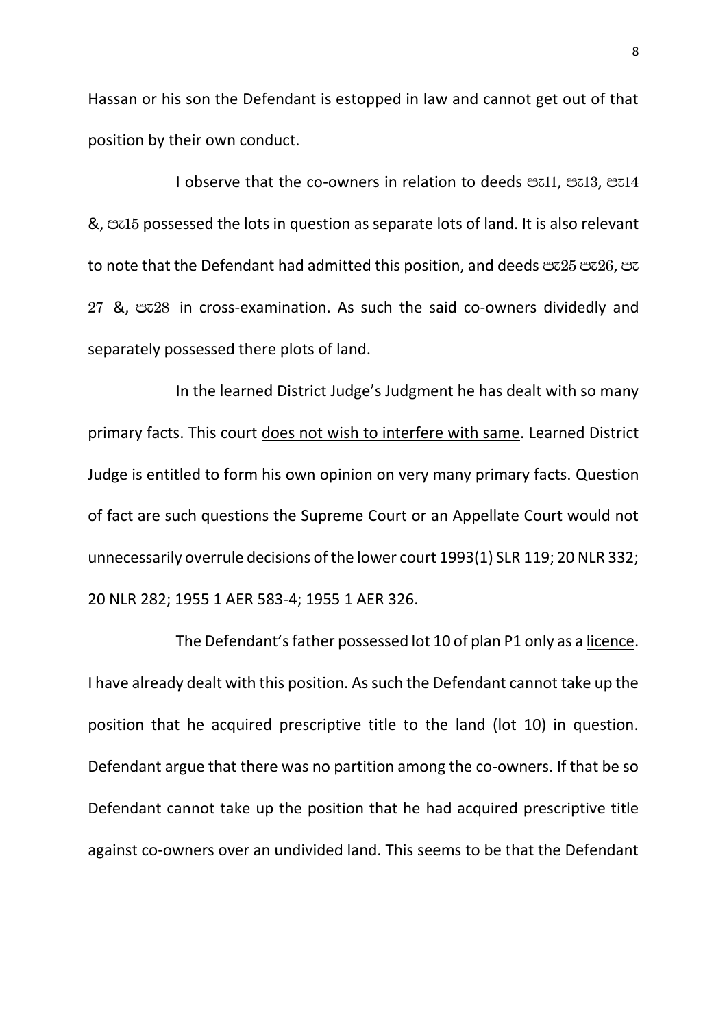Hassan or his son the Defendant is estopped in law and cannot get out of that position by their own conduct.

I observe that the co-owners in relation to deeds  $\mathfrak{B}$ z11,  $\mathfrak{B}$ z13,  $\mathfrak{B}$ z14 &, me15 possessed the lots in question as separate lots of land. It is also relevant to note that the Defendant had admitted this position, and deeds  $\mathfrak{S}z25$   $\mathfrak{S}z26$ ,  $\mathfrak{S}z$ 27 &, ez28 in cross-examination. As such the said co-owners dividedly and separately possessed there plots of land.

In the learned District Judge's Judgment he has dealt with so many primary facts. This court does not wish to interfere with same. Learned District Judge is entitled to form his own opinion on very many primary facts. Question of fact are such questions the Supreme Court or an Appellate Court would not unnecessarily overrule decisions of the lower court 1993(1) SLR 119; 20 NLR 332; 20 NLR 282; 1955 1 AER 583-4; 1955 1 AER 326.

The Defendant's father possessed lot 10 of plan P1 only as a licence. I have already dealt with this position. As such the Defendant cannot take up the position that he acquired prescriptive title to the land (lot 10) in question. Defendant argue that there was no partition among the co-owners. If that be so Defendant cannot take up the position that he had acquired prescriptive title against co-owners over an undivided land. This seems to be that the Defendant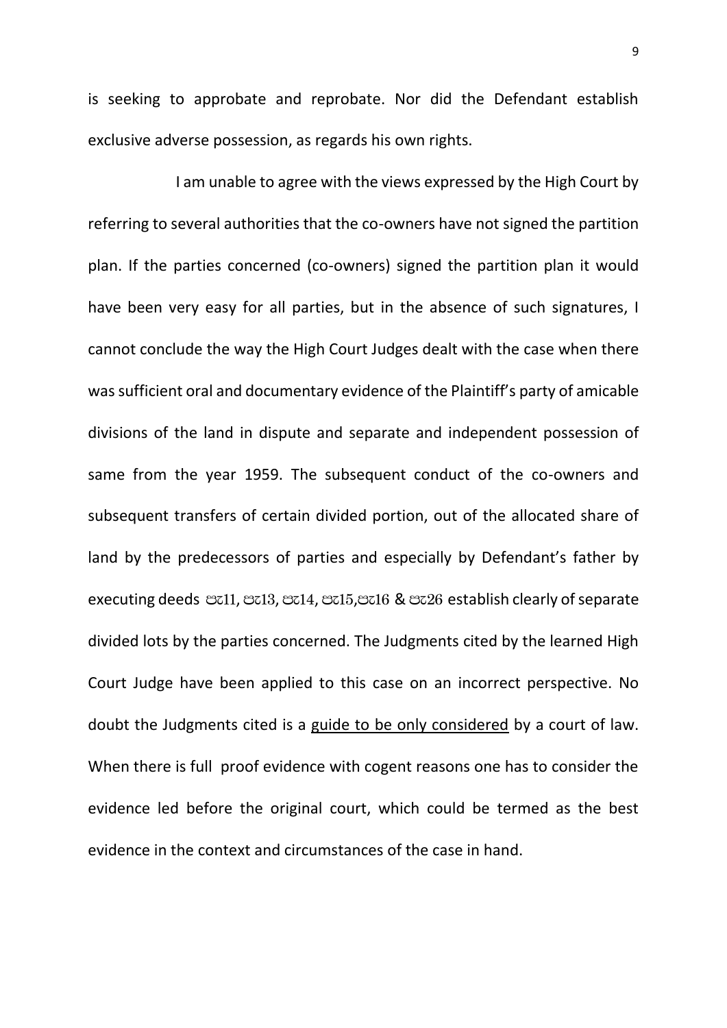is seeking to approbate and reprobate. Nor did the Defendant establish exclusive adverse possession, as regards his own rights.

I am unable to agree with the views expressed by the High Court by referring to several authorities that the co-owners have not signed the partition plan. If the parties concerned (co-owners) signed the partition plan it would have been very easy for all parties, but in the absence of such signatures, I cannot conclude the way the High Court Judges dealt with the case when there was sufficient oral and documentary evidence of the Plaintiff's party of amicable divisions of the land in dispute and separate and independent possession of same from the year 1959. The subsequent conduct of the co-owners and subsequent transfers of certain divided portion, out of the allocated share of land by the predecessors of parties and especially by Defendant's father by executing deeds  $\infty11$ ,  $\infty13$ ,  $\infty14$ ,  $\infty15$ ,  $\infty16$  &  $\infty26$  establish clearly of separate divided lots by the parties concerned. The Judgments cited by the learned High Court Judge have been applied to this case on an incorrect perspective. No doubt the Judgments cited is a guide to be only considered by a court of law. When there is full proof evidence with cogent reasons one has to consider the evidence led before the original court, which could be termed as the best evidence in the context and circumstances of the case in hand.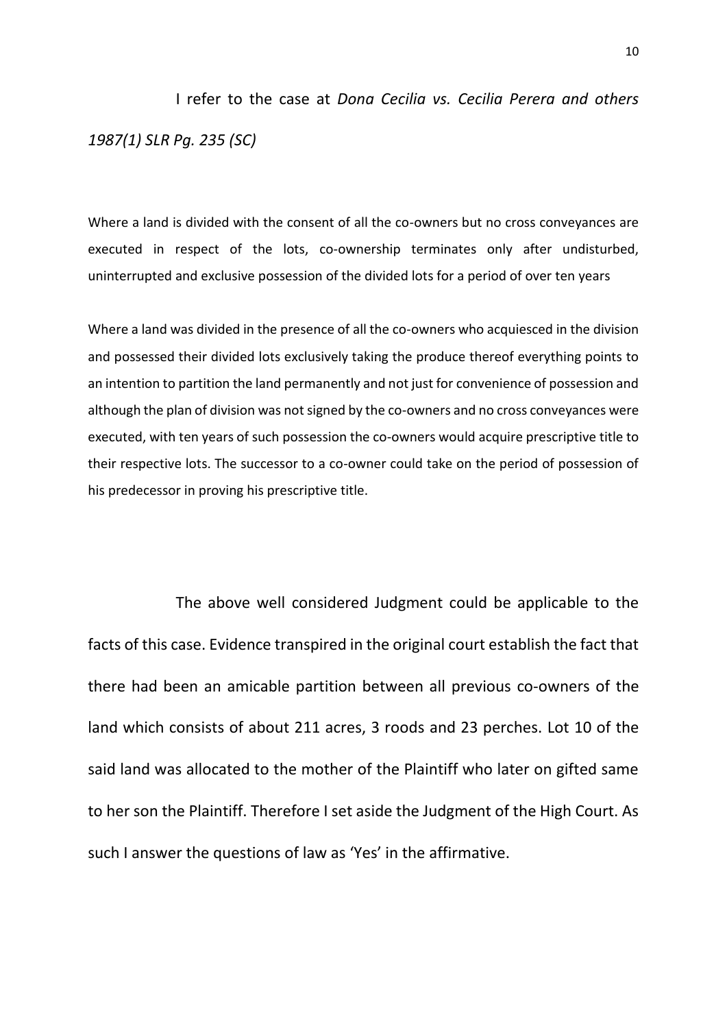I refer to the case at *Dona Cecilia vs. Cecilia Perera and others 1987(1) SLR Pg. 235 (SC)* 

Where a land is divided with the consent of all the co-owners but no cross conveyances are executed in respect of the lots, co-ownership terminates only after undisturbed, uninterrupted and exclusive possession of the divided lots for a period of over ten years

Where a land was divided in the presence of all the co-owners who acquiesced in the division and possessed their divided lots exclusively taking the produce thereof everything points to an intention to partition the land permanently and not just for convenience of possession and although the plan of division was not signed by the co-owners and no cross conveyances were executed, with ten years of such possession the co-owners would acquire prescriptive title to their respective lots. The successor to a co-owner could take on the period of possession of his predecessor in proving his prescriptive title.

The above well considered Judgment could be applicable to the facts of this case. Evidence transpired in the original court establish the fact that there had been an amicable partition between all previous co-owners of the land which consists of about 211 acres, 3 roods and 23 perches. Lot 10 of the said land was allocated to the mother of the Plaintiff who later on gifted same to her son the Plaintiff. Therefore I set aside the Judgment of the High Court. As such I answer the questions of law as 'Yes' in the affirmative.